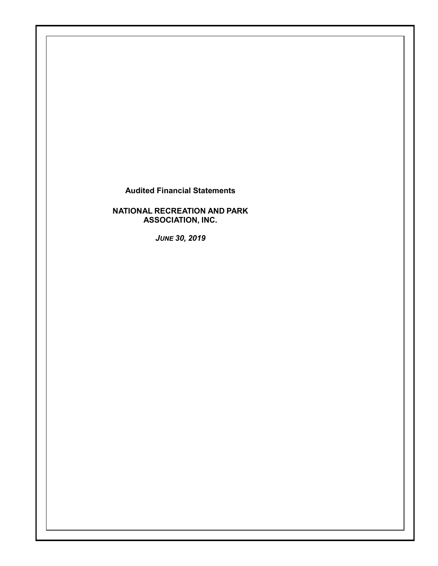## **Audited Financial Statements**

**NATIONAL RECREATION AND PARK ASSOCIATION, INC.**

*JUNE 30, 2019*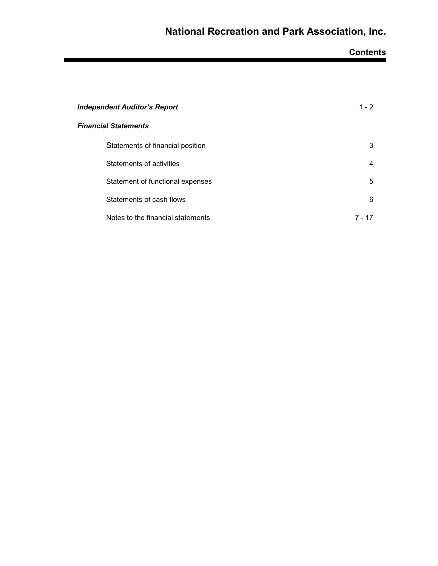# **Contents**

| <b>Independent Auditor's Report</b> | $1 - 2$ |
|-------------------------------------|---------|
| <b>Financial Statements</b>         |         |
| Statements of financial position    | 3       |
| Statements of activities            | 4       |
| Statement of functional expenses    | 5       |
| Statements of cash flows            | 6       |
| Notes to the financial statements   | 7 - 17  |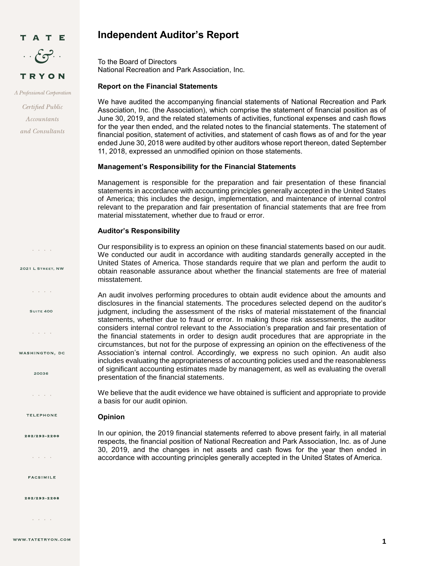

A Professional Corporation

Certified Public Accountants and Consultants

# $\Delta\sim 10^{11}$  km s  $^{-1}$

2021 L Street, NW

 $\Delta\sim 10^{11}$  km s  $^{-1}$ 

**SUITE 400** 

 $\mathcal{L}^{\mathcal{A}}$  ,  $\mathcal{L}^{\mathcal{A}}$  ,  $\mathcal{L}^{\mathcal{A}}$  ,  $\mathcal{L}^{\mathcal{A}}$ 

WASHINGTON, DC

20036

 $\mathbf{r} = \mathbf{r} - \mathbf{r} = \mathbf{r}$  .

**TELEPHONE** 

202/293-2200

and a state

FACSIMILE

202/293-2208

 $\mathcal{L}^{\text{c}}$  ,  $\mathcal{L}^{\text{c}}$  ,  $\mathcal{L}^{\text{c}}$  ,  $\mathcal{L}^{\text{c}}$ 

## **Independent Auditor's Report**

To the Board of Directors National Recreation and Park Association, Inc.

### **Report on the Financial Statements**

We have audited the accompanying financial statements of National Recreation and Park Association, Inc. (the Association), which comprise the statement of financial position as of June 30, 2019, and the related statements of activities, functional expenses and cash flows for the year then ended, and the related notes to the financial statements. The statement of financial position, statement of activities, and statement of cash flows as of and for the year ended June 30, 2018 were audited by other auditors whose report thereon, dated September 11, 2018, expressed an unmodified opinion on those statements.

### **Management's Responsibility for the Financial Statements**

Management is responsible for the preparation and fair presentation of these financial statements in accordance with accounting principles generally accepted in the United States of America; this includes the design, implementation, and maintenance of internal control relevant to the preparation and fair presentation of financial statements that are free from material misstatement, whether due to fraud or error.

### **Auditor's Responsibility**

Our responsibility is to express an opinion on these financial statements based on our audit. We conducted our audit in accordance with auditing standards generally accepted in the United States of America. Those standards require that we plan and perform the audit to obtain reasonable assurance about whether the financial statements are free of material misstatement.

An audit involves performing procedures to obtain audit evidence about the amounts and disclosures in the financial statements. The procedures selected depend on the auditor's judgment, including the assessment of the risks of material misstatement of the financial statements, whether due to fraud or error. In making those risk assessments, the auditor considers internal control relevant to the Association's preparation and fair presentation of the financial statements in order to design audit procedures that are appropriate in the circumstances, but not for the purpose of expressing an opinion on the effectiveness of the Association's internal control. Accordingly, we express no such opinion. An audit also includes evaluating the appropriateness of accounting policies used and the reasonableness of significant accounting estimates made by management, as well as evaluating the overall presentation of the financial statements.

We believe that the audit evidence we have obtained is sufficient and appropriate to provide a basis for our audit opinion.

### **Opinion**

In our opinion, the 2019 financial statements referred to above present fairly, in all material respects, the financial position of National Recreation and Park Association, Inc. as of June 30, 2019, and the changes in net assets and cash flows for the year then ended in accordance with accounting principles generally accepted in the United States of America.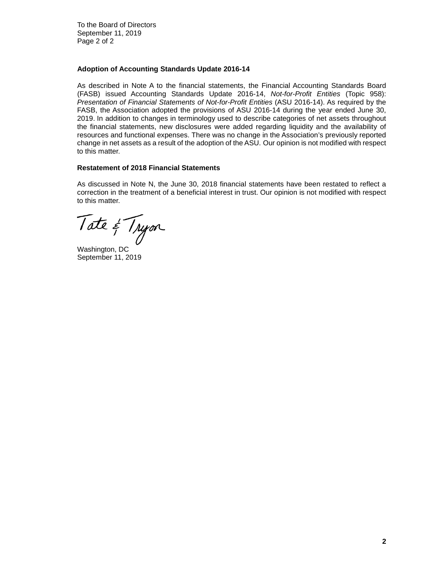To the Board of Directors September 11, 2019 Page 2 of 2

#### **Adoption of Accounting Standards Update 2016-14**

As described in Note A to the financial statements, the Financial Accounting Standards Board (FASB) issued Accounting Standards Update 2016-14, *Not-for-Profit Entities* (Topic 958): *Presentation of Financial Statements of Not-for-Profit Entities* (ASU 2016-14). As required by the FASB, the Association adopted the provisions of ASU 2016-14 during the year ended June 30, 2019. In addition to changes in terminology used to describe categories of net assets throughout the financial statements, new disclosures were added regarding liquidity and the availability of resources and functional expenses. There was no change in the Association's previously reported change in net assets as a result of the adoption of the ASU. Our opinion is not modified with respect to this matter.

#### **Restatement of 2018 Financial Statements**

As discussed in Note N, the June 30, 2018 financial statements have been restated to reflect a correction in the treatment of a beneficial interest in trust. Our opinion is not modified with respect to this matter.

Tate & Tryon

September 11, 2019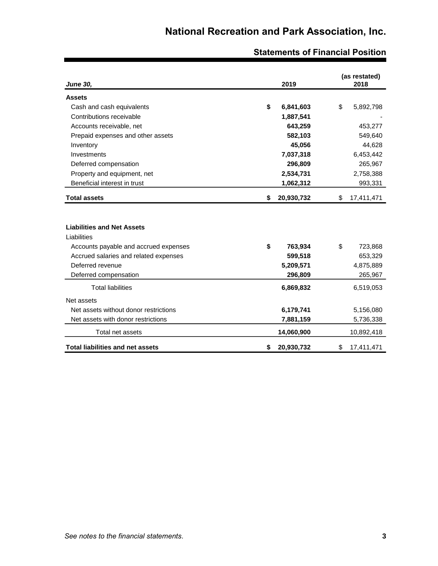| <b>June 30,</b>                                  |    | 2019       | (as restated)<br>2018 |
|--------------------------------------------------|----|------------|-----------------------|
| <b>Assets</b>                                    |    |            |                       |
| Cash and cash equivalents                        | \$ | 6,841,603  | \$<br>5,892,798       |
| Contributions receivable                         |    | 1,887,541  |                       |
| Accounts receivable, net                         |    | 643,259    | 453,277               |
| Prepaid expenses and other assets                |    | 582,103    | 549,640               |
| Inventory                                        |    | 45.056     | 44,628                |
| Investments                                      |    | 7,037,318  | 6,453,442             |
| Deferred compensation                            |    | 296,809    | 265,967               |
| Property and equipment, net                      |    | 2,534,731  | 2,758,388             |
| Beneficial interest in trust                     |    | 1,062,312  | 993,331               |
| <b>Total assets</b>                              | S  | 20,930,732 | \$<br>17,411,471      |
| <b>Liabilities and Net Assets</b><br>Liabilities |    |            |                       |
| Accounts payable and accrued expenses            | \$ | 763,934    | \$<br>723,868         |
| Accrued salaries and related expenses            |    | 599,518    | 653,329               |
| Deferred revenue                                 |    | 5,209,571  | 4,875,889             |
| Deferred compensation                            |    | 296,809    | 265,967               |
| <b>Total liabilities</b>                         |    | 6,869,832  | 6,519,053             |
| Net assets                                       |    |            |                       |
| Net assets without donor restrictions            |    | 6,179,741  | 5,156,080             |
| Net assets with donor restrictions               |    | 7,881,159  | 5,736,338             |
| Total net assets                                 |    | 14,060,900 | 10,892,418            |
| <b>Total liabilities and net assets</b>          | \$ | 20,930,732 | \$<br>17,411,471      |

## **Statements of Financial Position**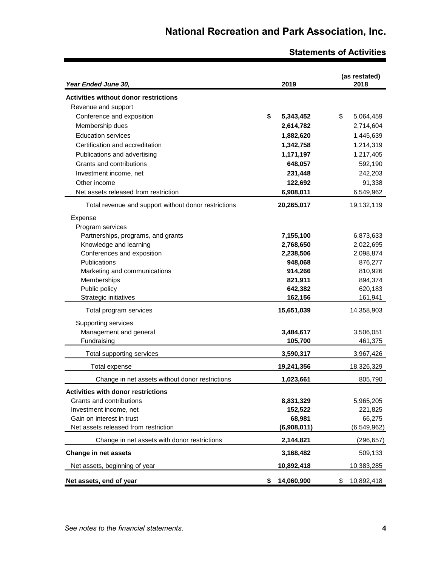| Year Ended June 30,                                  | 2019               | (as restated)<br>2018 |
|------------------------------------------------------|--------------------|-----------------------|
| <b>Activities without donor restrictions</b>         |                    |                       |
| Revenue and support                                  |                    |                       |
| Conference and exposition                            | \$<br>5,343,452    | \$<br>5,064,459       |
| Membership dues                                      | 2,614,782          | 2,714,604             |
| <b>Education services</b>                            | 1,882,620          | 1,445,639             |
| Certification and accreditation                      | 1,342,758          | 1,214,319             |
| Publications and advertising                         | 1,171,197          | 1,217,405             |
| Grants and contributions                             | 648,057            | 592,190               |
| Investment income, net                               | 231,448            | 242,203               |
| Other income                                         | 122,692            | 91,338                |
| Net assets released from restriction                 | 6,908,011          | 6,549,962             |
| Total revenue and support without donor restrictions | 20,265,017         | 19,132,119            |
| Expense                                              |                    |                       |
| Program services                                     |                    |                       |
| Partnerships, programs, and grants                   | 7,155,100          | 6,873,633             |
| Knowledge and learning                               | 2,768,650          | 2,022,695             |
| Conferences and exposition                           | 2,238,506          | 2,098,874             |
| Publications                                         | 948,068            | 876,277               |
| Marketing and communications                         | 914,266            | 810,926               |
| Memberships                                          | 821,911            | 894,374               |
| Public policy<br>Strategic initiatives               | 642,382<br>162,156 | 620,183<br>161,941    |
|                                                      |                    |                       |
| Total program services                               | 15,651,039         | 14,358,903            |
| Supporting services                                  |                    |                       |
| Management and general                               | 3,484,617          | 3,506,051             |
| Fundraising                                          | 105,700            | 461,375               |
| Total supporting services                            | 3,590,317          | 3,967,426             |
| Total expense                                        | 19,241,356         | 18,326,329            |
| Change in net assets without donor restrictions      | 1,023,661          | 805,790               |
| <b>Activities with donor restrictions</b>            |                    |                       |
| Grants and contributions                             | 8,831,329          | 5,965,205             |
| Investment income, net                               | 152,522            | 221,825               |
| Gain on interest in trust                            | 68,981             | 66,275                |
| Net assets released from restriction                 | (6,908,011)        | (6, 549, 962)         |
| Change in net assets with donor restrictions         | 2,144,821          | (296, 657)            |
| Change in net assets                                 | 3,168,482          | 509,133               |
| Net assets, beginning of year                        | 10,892,418         | 10,383,285            |
| Net assets, end of year                              | \$<br>14,060,900   | \$<br>10,892,418      |

## **Statements of Activities**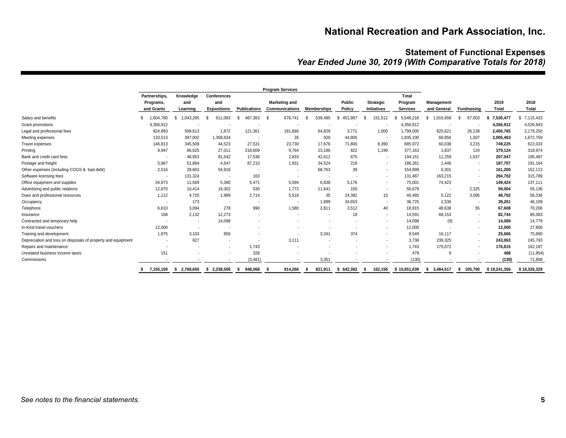## **Statement of Functional Expenses** *Year Ended June 30, 2019 (With Comparative Totals for 2018)*

|                                                              |                          |                          |                    |                     | <b>Program Services</b>  |                          |                 |                          |                 |                 |                          |              |              |
|--------------------------------------------------------------|--------------------------|--------------------------|--------------------|---------------------|--------------------------|--------------------------|-----------------|--------------------------|-----------------|-----------------|--------------------------|--------------|--------------|
|                                                              | Partnerships.            | Knowledge                | <b>Conferences</b> |                     |                          |                          |                 |                          | <b>Total</b>    |                 |                          |              |              |
|                                                              | Programs,                | and                      | and                |                     | <b>Marketing and</b>     |                          | <b>Public</b>   | <b>Strategic</b>         | Program         | Management      |                          | 2019         | 2018         |
|                                                              | and Grants               | Learning                 | <b>Expositions</b> | <b>Publications</b> | Communications           | <b>Memberships</b>       | Policy          | Initiatives              | <b>Services</b> | and General     | <b>Fundraising</b>       | <b>Total</b> | Total        |
| Salary and benefits                                          | .604.780<br>\$.          | 1,043,265<br>\$          | 611.083<br>-\$     | 467.363<br>S.       | 676,741<br>\$            | 539,485                  | 451.987         | 151,512<br>- \$          | 5,546,216<br>£. | 1,916,658<br>\$ | 67.603<br>\$             | 7,530,477    | 7,115,433    |
| Grant promotions                                             | 4,356,912                |                          |                    |                     |                          |                          |                 |                          | 4,356,912       |                 |                          | 4,356,912    | 4,526,943    |
| Legal and professional fees                                  | 824,893                  | 599,613                  | 1.872              | 121,361             | 181,666                  | 64,829                   | 3.771           | 1,000                    | 1,799,005       | 625,621         | 26,139                   | 2,450,765    | 2,179,250    |
| Meeting expenses                                             | 133,513                  | 397,002                  | 1,358,834          |                     | 26                       | 920                      | 44,805          | $\overline{\phantom{a}}$ | 1,935,100       | 68,856          | 1,507                    | 2,005,463    | 1,672,759    |
| Travel expenses                                              | 146,813                  | 345,509                  | 44,523             | 27,531              | 23,730                   | 17.676                   | 71.800          | 8,390                    | 685,972         | 60,038          | 3,215                    | 749.225      | 622,033      |
| Printing                                                     | 9,947                    | 86,625                   | 27,011             | 218,609             | 9,764                    | 23,186                   | 822             | 1,199                    | 377,163         | 1,837           | 124                      | 379.124      | 318,974      |
| Bank and credit card fees                                    |                          | 48,953                   | 81.542             | 17,536              | 2,833                    | 42.612                   | 675             | $\overline{\phantom{a}}$ | 194,151         | 11,259          | 1.637                    | 207.047      | 195,487      |
| Postage and freight                                          | 5,967                    | 51,864                   | 4.547              | 87,210              | 1,931                    | 34,524                   | 218             | $\overline{\phantom{a}}$ | 186,261         | 1.446           | $\overline{\phantom{a}}$ | 187,707      | 191,164      |
| Other expenses (including COGS & bad debt)                   | 2,516                    | 28,663                   | 54,918             |                     | $\sim$                   | 68,763                   | 39              | $\overline{\phantom{a}}$ | 154,899         | 6,301           | $\overline{\phantom{a}}$ | 161,200      | 152,113      |
| Software licensing fees                                      |                          | 131,324                  |                    | 163                 | $\overline{\phantom{a}}$ |                          |                 | $\overline{\phantom{a}}$ | 131.487         | 163,215         | $\overline{\phantom{a}}$ | 294.702      | 315,789      |
| Office equipment and supplies                                | 34,973                   | 11,569                   | 5.380              | 5,471               | 5,594                    | 6,838                    | 5,176           | $\overline{\phantom{a}}$ | 75,001          | 74.423          | $\overline{\phantom{a}}$ | 149.424      | 137,111      |
| Advertising and public relations                             | 12,870                   | 10,414                   | 19.302             | 530                 | 1.772                    | 11.641                   | 150             | $\overline{\phantom{a}}$ | 56,679          |                 | 2,325                    | 59.004       | 55,136       |
| Dues and professional resources                              | 1,112                    | 4,720                    | 1,989              | 2,714               | 5,518                    | 35                       | 24,382          | 15                       | 40,485          | 5,122           | 3,095                    | 48,702       | 56,336       |
| Occupancy                                                    |                          | 173                      |                    |                     |                          | 1,899                    | 34,653          | $\overline{\phantom{a}}$ | 36,725          | 2,536           | $\overline{\phantom{a}}$ | 39,261       | 46,109       |
| Telephone                                                    | 6,610                    | 3,094                    | 278                | 990                 | 1,580                    | 2,811                    | 3,512           | 40                       | 18,915          | 48,638          | 55                       | 67,608       | 70,206       |
| Insurance                                                    | 168                      | 2,132                    | 12,273             | . .                 | $\sim$                   | $\overline{\phantom{a}}$ | 18              | $\overline{\phantom{a}}$ | 14,591          | 68,153          | $\overline{\phantom{a}}$ | 82,744       | 85,083       |
| Contracted and temporary help                                |                          | $\overline{\phantom{a}}$ | 14,098             |                     |                          |                          |                 | $\overline{\phantom{a}}$ | 14,098          | (9)             | $\overline{\phantom{a}}$ | 14,089       | 14,779       |
| In-Kind travel vouchers                                      | 12,000                   |                          |                    |                     |                          |                          |                 | $\overline{\phantom{a}}$ | 12,000          |                 |                          | 12,000       | 27,800       |
| Training and development                                     | 1,875                    | 3,103                    | 856                |                     |                          | 3.341                    | 374             | $\overline{\phantom{a}}$ | 9,549           | 16,117          | $\overline{\phantom{a}}$ | 25,666       | 75,890       |
| Depreciation and loss on disposals of property and equipment | $\overline{\phantom{a}}$ | 627                      |                    |                     | 3,111                    |                          |                 | $\overline{\phantom{a}}$ | 3,738           | 239,325         | $\overline{\phantom{a}}$ | 243,063      | 245,793      |
| Repairs and maintenance                                      |                          |                          |                    | 1,743               |                          |                          |                 |                          | 1,743           | 175,072         | $\overline{\phantom{a}}$ | 176,815      | 162,187      |
| Unrelated business income taxes                              | 151                      |                          |                    | 328                 |                          |                          |                 |                          | 479             | 9               | $\overline{\phantom{a}}$ | 488          | (11, 854)    |
| Commissions                                                  |                          |                          |                    | (3, 481)            |                          | 3,351                    |                 |                          | (130)           |                 |                          | (130)        | 71,808       |
|                                                              | 7.155.100                | 2.768.650                | 2.238.506          | 948.068<br>s        | 914.266<br>-S            | 821.911                  | 642.382<br>- 55 | 162.156                  | \$15.651.039    | 3.484.617       | 105.700<br>S             | \$19,241,356 | \$18,326,329 |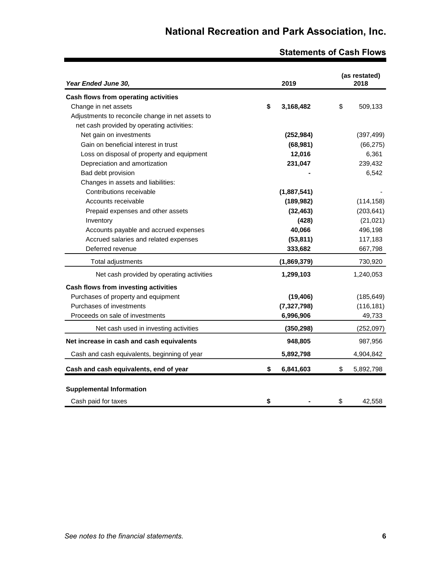| Year Ended June 30,                              | 2019            | (as restated)<br>2018 |
|--------------------------------------------------|-----------------|-----------------------|
| Cash flows from operating activities             |                 |                       |
| Change in net assets                             | \$<br>3,168,482 | \$<br>509,133         |
| Adjustments to reconcile change in net assets to |                 |                       |
| net cash provided by operating activities:       |                 |                       |
| Net gain on investments                          | (252, 984)      | (397, 499)            |
| Gain on beneficial interest in trust             | (68, 981)       | (66, 275)             |
| Loss on disposal of property and equipment       | 12,016          | 6,361                 |
| Depreciation and amortization                    | 231,047         | 239,432               |
| Bad debt provision                               |                 | 6,542                 |
| Changes in assets and liabilities:               |                 |                       |
| Contributions receivable                         | (1,887,541)     |                       |
| Accounts receivable                              | (189, 982)      | (114, 158)            |
| Prepaid expenses and other assets                | (32, 463)       | (203, 641)            |
| Inventory                                        | (428)           | (21, 021)             |
| Accounts payable and accrued expenses            | 40,066          | 496,198               |
| Accrued salaries and related expenses            | (53, 811)       | 117,183               |
| Deferred revenue                                 | 333,682         | 667,798               |
| Total adjustments                                | (1,869,379)     | 730,920               |
| Net cash provided by operating activities        | 1,299,103       | 1,240,053             |
| Cash flows from investing activities             |                 |                       |
| Purchases of property and equipment              | (19, 406)       | (185, 649)            |
| Purchases of investments                         | (7, 327, 798)   | (116, 181)            |
| Proceeds on sale of investments                  | 6,996,906       | 49,733                |
| Net cash used in investing activities            | (350, 298)      | (252,097)             |
| Net increase in cash and cash equivalents        | 948,805         | 987,956               |
| Cash and cash equivalents, beginning of year     | 5,892,798       | 4,904,842             |
| Cash and cash equivalents, end of year           | \$<br>6,841,603 | \$<br>5,892,798       |
| <b>Supplemental Information</b>                  |                 |                       |
| Cash paid for taxes                              | \$              | \$<br>42,558          |

# **Statements of Cash Flows**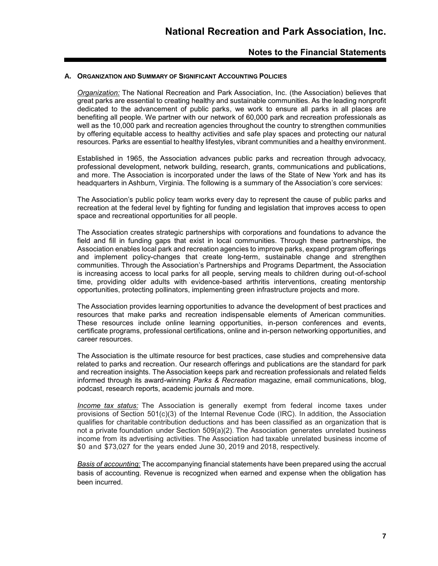#### **A. ORGANIZATION AND SUMMARY OF SIGNIFICANT ACCOUNTING POLICIES**

*Organization:* The National Recreation and Park Association, Inc. (the Association) believes that great parks are essential to creating healthy and sustainable communities. As the leading nonprofit dedicated to the advancement of public parks, we work to ensure all parks in all places are benefiting all people. We partner with our network of 60,000 park and recreation professionals as well as the 10,000 park and recreation agencies throughout the country to strengthen communities by offering equitable access to healthy activities and safe play spaces and protecting our natural resources. Parks are essential to healthy lifestyles, vibrant communities and a healthy environment.

Established in 1965, the Association advances public parks and recreation through advocacy, professional development, network building, research, grants, communications and publications, and more. The Association is incorporated under the laws of the State of New York and has its headquarters in Ashburn, Virginia. The following is a summary of the Association's core services:

The Association's public policy team works every day to represent the cause of public parks and recreation at the federal level by fighting for funding and legislation that improves access to open space and recreational opportunities for all people.

The Association creates strategic partnerships with corporations and foundations to advance the field and fill in funding gaps that exist in local communities. Through these partnerships, the Association enables local park and recreation agencies to improve parks, expand program offerings and implement policy-changes that create long-term, sustainable change and strengthen communities. Through the Association's Partnerships and Programs Department, the Association is increasing access to local parks for all people, serving meals to children during out-of-school time, providing older adults with evidence-based arthritis interventions, creating mentorship opportunities, protecting pollinators, implementing green infrastructure projects and more.

The Association provides learning opportunities to advance the development of best practices and resources that make parks and recreation indispensable elements of American communities. These resources include online learning opportunities, in-person conferences and events, certificate programs, professional certifications, online and in-person networking opportunities, and career resources.

The Association is the ultimate resource for best practices, case studies and comprehensive data related to parks and recreation. Our research offerings and publications are the standard for park and recreation insights. The Association keeps park and recreation professionals and related fields informed through its award-winning *Parks & Recreation* magazine, email communications, blog, podcast, research reports, academic journals and more.

*Income tax status:* The Association is generally exempt from federal income taxes under provisions of Section 501(c)(3) of the Internal Revenue Code (IRC). In addition, the Association qualifies for charitable contribution deductions and has been classified as an organization that is not a private foundation under Section 509(a)(2). The Association generates unrelated business income from its advertising activities. The Association had taxable unrelated business income of \$0 and \$73,027 for the years ended June 30, 2019 and 2018, respectively.

*Basis of accounting:* The accompanying financial statements have been prepared using the accrual basis of accounting. Revenue is recognized when earned and expense when the obligation has been incurred.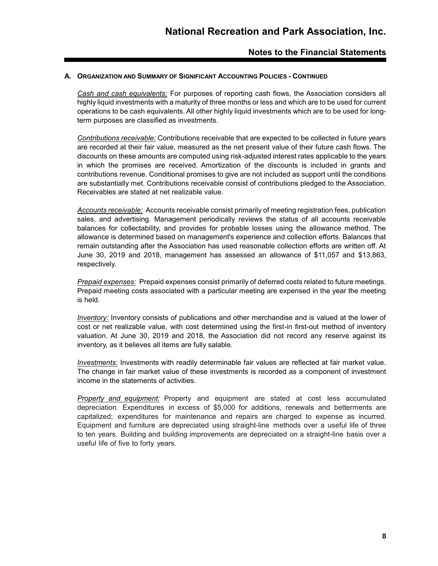#### **A. ORGANIZATION AND SUMMARY OF SIGNIFICANT ACCOUNTING POLICIES - CONTINUED**

*Cash and cash equivalents:* For purposes of reporting cash flows, the Association considers all highly liquid investments with a maturity of three months or less and which are to be used for current operations to be cash equivalents. All other highly liquid investments which are to be used for longterm purposes are classified as investments.

*Contributions receivable:* Contributions receivable that are expected to be collected in future years are recorded at their fair value, measured as the net present value of their future cash flows. The discounts on these amounts are computed using risk-adjusted interest rates applicable to the years in which the promises are received. Amortization of the discounts is included in grants and contributions revenue. Conditional promises to give are not included as support until the conditions are substantially met. Contributions receivable consist of contributions pledged to the Association. Receivables are stated at net realizable value.

*Accounts receivable:* Accounts receivable consist primarily of meeting registration fees, publication sales, and advertising. Management periodically reviews the status of all accounts receivable balances for collectability, and provides for probable losses using the allowance method. The allowance is determined based on management's experience and collection efforts. Balances that remain outstanding after the Association has used reasonable collection efforts are written off. At June 30, 2019 and 2018, management has assessed an allowance of \$11,057 and \$13,863, respectively.

*Prepaid expenses:* Prepaid expenses consist primarily of deferred costs related to future meetings. Prepaid meeting costs associated with a particular meeting are expensed in the year the meeting is held.

*Inventory:* Inventory consists of publications and other merchandise and is valued at the lower of cost or net realizable value, with cost determined using the first-in first-out method of inventory valuation. At June 30, 2019 and 2018, the Association did not record any reserve against its inventory, as it believes all items are fully salable.

*Investments:* Investments with readily determinable fair values are reflected at fair market value. The change in fair market value of these investments is recorded as a component of investment income in the statements of activities.

*Property and equipment:* Property and equipment are stated at cost less accumulated depreciation. Expenditures in excess of \$5,000 for additions, renewals and betterments are capitalized; expenditures for maintenance and repairs are charged to expense as incurred. Equipment and furniture are depreciated using straight-line methods over a useful life of three to ten years. Building and building improvements are depreciated on a straight-line basis over a useful life of five to forty years.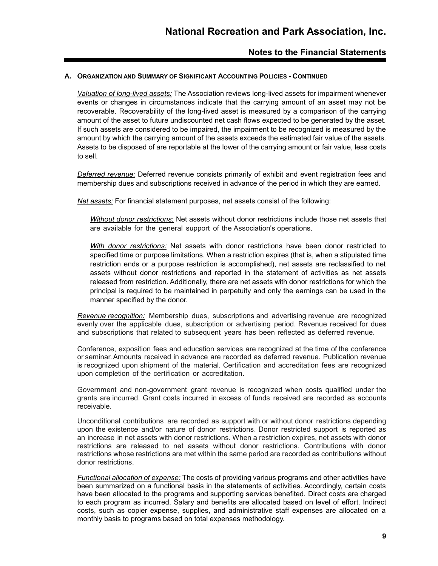#### **A. ORGANIZATION AND SUMMARY OF SIGNIFICANT ACCOUNTING POLICIES - CONTINUED**

*Valuation of long-lived assets:* The Association reviews long-lived assets for impairment whenever events or changes in circumstances indicate that the carrying amount of an asset may not be recoverable. Recoverability of the long-lived asset is measured by a comparison of the carrying amount of the asset to future undiscounted net cash flows expected to be generated by the asset. If such assets are considered to be impaired, the impairment to be recognized is measured by the amount by which the carrying amount of the assets exceeds the estimated fair value of the assets. Assets to be disposed of are reportable at the lower of the carrying amount or fair value, less costs to sell.

*Deferred revenue:* Deferred revenue consists primarily of exhibit and event registration fees and membership dues and subscriptions received in advance of the period in which they are earned.

*Net assets:* For financial statement purposes, net assets consist of the following:

*Without donor restrictions*: Net assets without donor restrictions include those net assets that are available for the general support of the Association's operations.

*With donor restrictions:* Net assets with donor restrictions have been donor restricted to specified time or purpose limitations. When a restriction expires (that is, when a stipulated time restriction ends or a purpose restriction is accomplished), net assets are reclassified to net assets without donor restrictions and reported in the statement of activities as net assets released from restriction. Additionally, there are net assets with donor restrictions for which the principal is required to be maintained in perpetuity and only the earnings can be used in the manner specified by the donor.

*Revenue recognition:* Membership dues, subscriptions and advertising revenue are recognized evenly over the applicable dues, subscription or advertising period. Revenue received for dues and subscriptions that related to subsequent years has been reflected as deferred revenue.

Conference, exposition fees and education services are recognized at the time of the conference or seminar.Amounts received in advance are recorded as deferred revenue. Publication revenue is recognized upon shipment of the material. Certification and accreditation fees are recognized upon completion of the certification or accreditation.

Government and non-government grant revenue is recognized when costs qualified under the grants are incurred. Grant costs incurred in excess of funds received are recorded as accounts receivable.

Unconditional contributions are recorded as support with or without donor restrictions depending upon the existence and/or nature of donor restrictions. Donor restricted support is reported as an increase in net assets with donor restrictions. When a restriction expires, net assets with donor restrictions are released to net assets without donor restrictions. Contributions with donor restrictions whose restrictions are met within the same period are recorded as contributions without donor restrictions.

*Functional allocation of expense:* The costs of providing various programs and other activities have been summarized on a functional basis in the statements of activities. Accordingly, certain costs have been allocated to the programs and supporting services benefited. Direct costs are charged to each program as incurred. Salary and benefits are allocated based on level of effort. Indirect costs, such as copier expense, supplies, and administrative staff expenses are allocated on a monthly basis to programs based on total expenses methodology.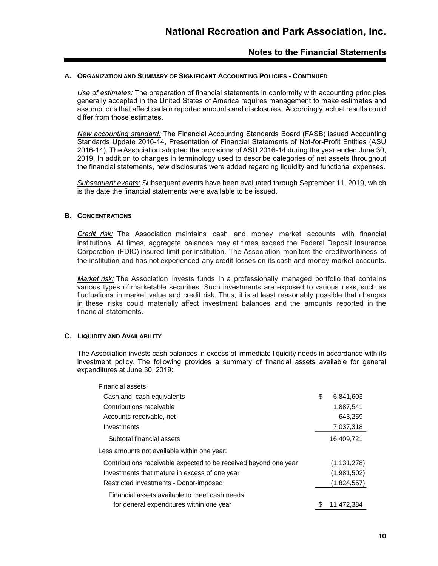#### **A. ORGANIZATION AND SUMMARY OF SIGNIFICANT ACCOUNTING POLICIES - CONTINUED**

*Use of estimates:* The preparation of financial statements in conformity with accounting principles generally accepted in the United States of America requires management to make estimates and assumptions that affect certain reported amounts and disclosures. Accordingly, actual results could differ from those estimates.

*New accounting standard:* The Financial Accounting Standards Board (FASB) issued Accounting Standards Update 2016-14, Presentation of Financial Statements of Not-for-Profit Entities (ASU 2016-14). The Association adopted the provisions of ASU 2016-14 during the year ended June 30, 2019. In addition to changes in terminology used to describe categories of net assets throughout the financial statements, new disclosures were added regarding liquidity and functional expenses.

*Subsequent events:* Subsequent events have been evaluated through September 11, 2019, which is the date the financial statements were available to be issued.

#### **B. CONCENTRATIONS**

*Credit risk:* The Association maintains cash and money market accounts with financial institutions. At times, aggregate balances may at times exceed the Federal Deposit Insurance Corporation (FDIC) insured limit per institution. The Association monitors the creditworthiness of the institution and has not experienced any credit losses on its cash and money market accounts.

*Market risk:* The Association invests funds in a professionally managed portfolio that contains various types of marketable securities. Such investments are exposed to various risks, such as fluctuations in market value and credit risk. Thus, it is at least reasonably possible that changes in these risks could materially affect investment balances and the amounts reported in the financial statements.

#### **C. LIQUIDITY AND AVAILABILITY**

The Association invests cash balances in excess of immediate liquidity needs in accordance with its investment policy. The following provides a summary of financial assets available for general expenditures at June 30, 2019:

| Financial assets:                                                |                  |
|------------------------------------------------------------------|------------------|
| Cash and cash equivalents                                        | \$<br>6,841,603  |
| Contributions receivable                                         | 1,887,541        |
| Accounts receivable, net                                         | 643,259          |
| Investments                                                      | 7,037,318        |
| Subtotal financial assets                                        | 16,409,721       |
| Less amounts not available within one year:                      |                  |
| Contributions receivable expected to be received beyond one year | (1, 131, 278)    |
| Investments that mature in excess of one year                    | (1,981,502)      |
| Restricted Investments - Donor-imposed                           | (1,824,557)      |
| Financial assets available to meet cash needs                    |                  |
| for general expenditures within one year                         | \$<br>11.472.384 |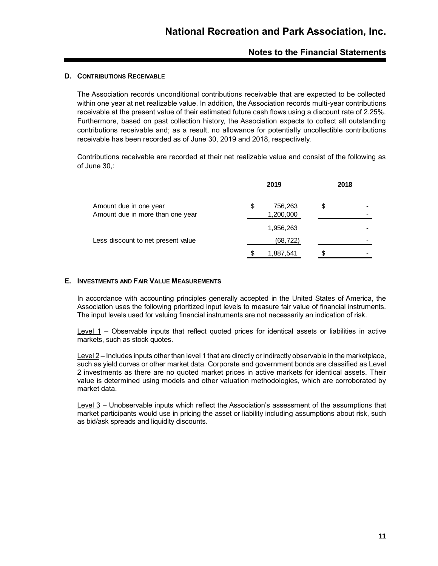#### **D. CONTRIBUTIONS RECEIVABLE**

The Association records unconditional contributions receivable that are expected to be collected within one year at net realizable value. In addition, the Association records multi-year contributions receivable at the present value of their estimated future cash flows using a discount rate of 2.25%. Furthermore, based on past collection history, the Association expects to collect all outstanding contributions receivable and; as a result, no allowance for potentially uncollectible contributions receivable has been recorded as of June 30, 2019 and 2018, respectively.

Contributions receivable are recorded at their net realizable value and consist of the following as of June 30,:

|                                                            |    | 2019                 | 2018 |  |
|------------------------------------------------------------|----|----------------------|------|--|
| Amount due in one year<br>Amount due in more than one year | \$ | 756,263<br>1,200,000 | \$   |  |
|                                                            |    | 1,956,263            |      |  |
| Less discount to net present value                         |    | (68, 722)            |      |  |
|                                                            | S. | 1,887,541            | S.   |  |

#### **E. INVESTMENTS AND FAIR VALUE MEASUREMENTS**

In accordance with accounting principles generally accepted in the United States of America, the Association uses the following prioritized input levels to measure fair value of financial instruments. The input levels used for valuing financial instruments are not necessarily an indication of risk.

Level 1 – Observable inputs that reflect quoted prices for identical assets or liabilities in active markets, such as stock quotes.

Level 2 – Includes inputs other than level 1 that are directly or indirectly observable in the marketplace, such as yield curves or other market data. Corporate and government bonds are classified as Level 2 investments as there are no quoted market prices in active markets for identical assets. Their value is determined using models and other valuation methodologies, which are corroborated by market data.

Level 3 – Unobservable inputs which reflect the Association's assessment of the assumptions that market participants would use in pricing the asset or liability including assumptions about risk, such as bid/ask spreads and liquidity discounts.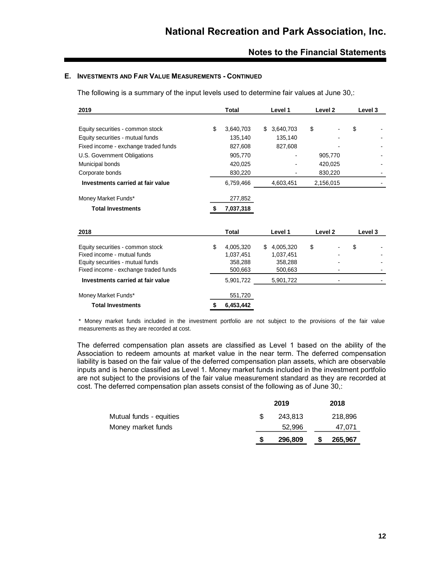#### **E. INVESTMENTS AND FAIR VALUE MEASUREMENTS - CONTINUED**

The following is a summary of the input levels used to determine fair values at June 30,:

| 2019                                 | <b>Total</b> |           | Level 1         | Level <sub>2</sub> | Level 3 |  |
|--------------------------------------|--------------|-----------|-----------------|--------------------|---------|--|
|                                      |              |           |                 |                    |         |  |
| Equity securities - common stock     | \$           | 3,640,703 | \$<br>3,640,703 | \$                 | \$      |  |
| Equity securities - mutual funds     |              | 135,140   | 135,140         |                    |         |  |
| Fixed income - exchange traded funds |              | 827,608   | 827,608         |                    |         |  |
| U.S. Government Obligations          |              | 905,770   |                 | 905,770            |         |  |
| Municipal bonds                      |              | 420,025   |                 | 420,025            |         |  |
| Corporate bonds                      |              | 830,220   |                 | 830,220            |         |  |
| Investments carried at fair value    |              | 6,759,466 | 4,603,451       | 2,156,015          |         |  |
| Money Market Funds*                  |              | 277,852   |                 |                    |         |  |
| <b>Total Investments</b>             | S            | 7,037,318 |                 |                    |         |  |
|                                      |              |           |                 |                    |         |  |
| 2018                                 |              | Total     | Level 1         | Level 2            | Level 3 |  |
| Equity securities - common stock     | \$           | 4,005,320 | 4,005,320<br>\$ | \$                 | \$      |  |
| Fixed income - mutual funds          |              | 1,037,451 | 1,037,451       |                    |         |  |
| Equity securities - mutual funds     |              | 358,288   | 358,288         |                    |         |  |
| Fixed income - exchange traded funds |              | 500,663   | 500,663         |                    |         |  |
| Investments carried at fair value    |              | 5,901,722 | 5,901,722       |                    |         |  |
| Money Market Funds*                  |              | 551,720   |                 |                    |         |  |
| <b>Total Investments</b>             | \$           | 6,453,442 |                 |                    |         |  |

\* Money market funds included in the investment portfolio are not subject to the provisions of the fair value measurements as they are recorded at cost.

The deferred compensation plan assets are classified as Level 1 based on the ability of the Association to redeem amounts at market value in the near term. The deferred compensation liability is based on the fair value of the deferred compensation plan assets, which are observable inputs and is hence classified as Level 1. Money market funds included in the investment portfolio are not subject to the provisions of the fair value measurement standard as they are recorded at cost. The deferred compensation plan assets consist of the following as of June 30,:

|                         |   | 2019    | 2018    |
|-------------------------|---|---------|---------|
| Mutual funds - equities |   | 243.813 | 218,896 |
| Money market funds      |   | 52.996  | 47.071  |
|                         | S | 296,809 | 265,967 |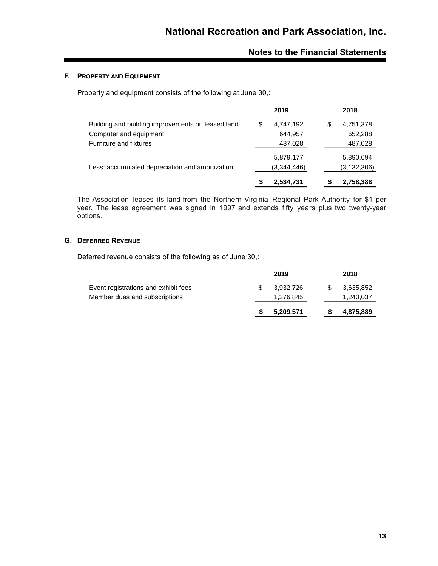#### **F. PROPERTY AND EQUIPMENT**

Property and equipment consists of the following at June 30,:

|                                                   | 2019           | 2018            |
|---------------------------------------------------|----------------|-----------------|
| Building and building improvements on leased land | 4,747,192<br>S | 4,751,378<br>\$ |
| Computer and equipment                            | 644.957        | 652,288         |
| Furniture and fixtures                            | 487,028        | 487,028         |
|                                                   | 5,879,177      | 5,890,694       |
| Less: accumulated depreciation and amortization   | (3,344,446)    | (3,132,306)     |
|                                                   | 2,534,731      | 2,758,388       |

The Association leases its land from the Northern Virginia Regional Park Authority for \$1 per year. The lease agreement was signed in 1997 and extends fifty years plus two twenty-year options.

#### **G. DEFERRED REVENUE**

Deferred revenue consists of the following as of June 30,:

| Event registrations and exhibit fees<br>Member dues and subscriptions | 3.932.726<br>1,276,845 | 3,635,852<br>1,240,037 |
|-----------------------------------------------------------------------|------------------------|------------------------|
|                                                                       | 5,209,571              | 4,875,889              |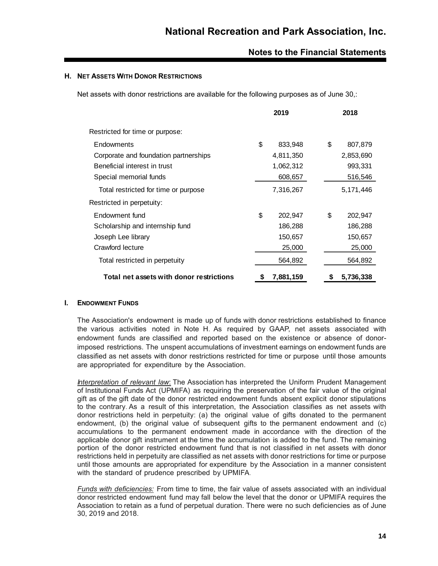#### **H. NET ASSETS WITH DONOR RESTRICTIONS**

Net assets with donor restrictions are available for the following purposes as of June 30,:

|                                          |    | 2019      |    | 2018      |
|------------------------------------------|----|-----------|----|-----------|
| Restricted for time or purpose:          |    |           |    |           |
| Endowments                               | \$ | 833,948   | \$ | 807,879   |
| Corporate and foundation partnerships    |    | 4,811,350 |    | 2,853,690 |
| Beneficial interest in trust             |    | 1,062,312 |    | 993,331   |
| Special memorial funds                   |    | 608,657   |    | 516,546   |
| Total restricted for time or purpose     |    | 7,316,267 |    | 5,171,446 |
| Restricted in perpetuity:                |    |           |    |           |
| Endowment fund                           | \$ | 202,947   | \$ | 202,947   |
| Scholarship and internship fund          |    | 186,288   |    | 186,288   |
| Joseph Lee library                       |    | 150,657   |    | 150,657   |
| Crawford lecture                         |    | 25,000    |    | 25,000    |
| Total restricted in perpetuity           |    | 564,892   |    | 564,892   |
| Total net assets with donor restrictions | 5  | 7,881,159 |    | 5,736,338 |

#### **I. ENDOWMENT FUNDS**

The Association's endowment is made up of funds with donor restrictions established to finance the various activities noted in Note H. As required by GAAP, net assets associated with endowment funds are classified and reported based on the existence or absence of donorimposed restrictions. The unspent accumulations of investment earnings on endowment funds are classified as net assets with donor restrictions restricted for time or purpose until those amounts are appropriated for expenditure by the Association.

*Interpretation of relevant law*: The Association has interpreted the Uniform Prudent Management of Institutional Funds Act (UPMIFA) as requiring the preservation of the fair value of the original gift as of the gift date of the donor restricted endowment funds absent explicit donor stipulations to the contrary. As a result of this interpretation, the Association classifies as net assets with donor restrictions held in perpetuity: (a) the original value of gifts donated to the permanent endowment, (b) the original value of subsequent gifts to the permanent endowment and (c) accumulations to the permanent endowment made in accordance with the direction of the applicable donor gift instrument at the time the accumulation is added to the fund. The remaining portion of the donor restricted endowment fund that is not classified in net assets with donor restrictions held in perpetuity are classified as net assets with donor restrictions for time or purpose until those amounts are appropriated for expenditure by the Association in a manner consistent with the standard of prudence prescribed by UPMIFA.

*Funds with deficiencies:* From time to time, the fair value of assets associated with an individual donor restricted endowment fund may fall below the level that the donor or UPMIFA requires the Association to retain as a fund of perpetual duration. There were no such deficiencies as of June 30, 2019 and 2018.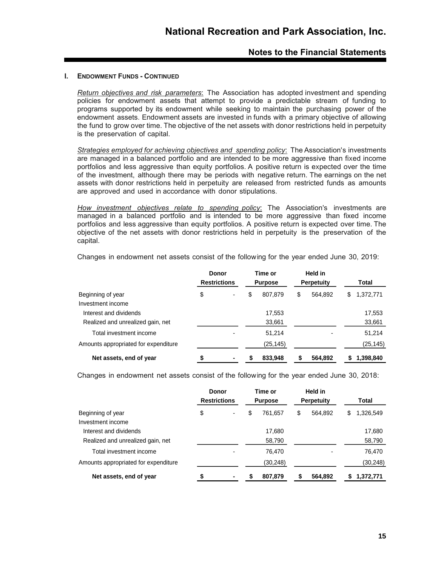#### **I. ENDOWMENT FUNDS - CONTINUED**

*Return objectives and risk parameters*: The Association has adopted investment and spending policies for endowment assets that attempt to provide a predictable stream of funding to programs supported by its endowment while seeking to maintain the purchasing power of the endowment assets. Endowment assets are invested in funds with a primary objective of allowing the fund to grow over time. The objective of the net assets with donor restrictions held in perpetuity is the preservation of capital.

*Strategies employed for achieving objectives and spending policy*: The Association's investments are managed in a balanced portfolio and are intended to be more aggressive than fixed income portfolios and less aggressive than equity portfolios. A positive return is expected over the time of the investment, although there may be periods with negative return. The earnings on the net assets with donor restrictions held in perpetuity are released from restricted funds as amounts are approved and used in accordance with donor stipulations.

*How investment objectives relate to spending policy*: The Association's investments are managed in a balanced portfolio and is intended to be more aggressive than fixed income portfolios and less aggressive than equity portfolios. A positive return is expected over time. The objective of the net assets with donor restrictions held in perpetuity is the preservation of the capital.

Changes in endowment net assets consist of the following for the year ended June 30, 2019:

|                                      | <b>Donor</b><br><b>Restrictions</b> |  | Time or<br><b>Purpose</b> |   | Held in<br><b>Perpetuity</b> |   | Total     |  |
|--------------------------------------|-------------------------------------|--|---------------------------|---|------------------------------|---|-----------|--|
| Beginning of year                    | \$                                  |  | \$<br>807,879             | S | 564,892                      | S | 1,372,771 |  |
| Investment income                    |                                     |  |                           |   |                              |   |           |  |
| Interest and dividends               |                                     |  | 17,553                    |   |                              |   | 17,553    |  |
| Realized and unrealized gain, net    |                                     |  | 33,661                    |   |                              |   | 33,661    |  |
| Total investment income              |                                     |  | 51.214                    |   |                              |   | 51,214    |  |
| Amounts appropriated for expenditure |                                     |  | (25,145)                  |   |                              |   | (25,145)  |  |
| Net assets, end of year              |                                     |  | 833.948                   |   | 564,892                      |   | 1,398,840 |  |

Changes in endowment net assets consist of the following for the year ended June 30, 2018:

|                                      | <b>Donor</b><br><b>Restrictions</b> |  | Time or<br><b>Purpose</b> |   | Held in<br><b>Perpetuity</b> | Total           |  |
|--------------------------------------|-------------------------------------|--|---------------------------|---|------------------------------|-----------------|--|
| Beginning of year                    | \$                                  |  | \$<br>761.657             | S | 564,892                      | \$<br>1,326,549 |  |
| Investment income                    |                                     |  |                           |   |                              |                 |  |
| Interest and dividends               |                                     |  | 17,680                    |   |                              | 17,680          |  |
| Realized and unrealized gain, net    |                                     |  | 58,790                    |   |                              | 58,790          |  |
| Total investment income              |                                     |  | 76.470                    |   |                              | 76,470          |  |
| Amounts appropriated for expenditure |                                     |  | (30, 248)                 |   |                              | (30, 248)       |  |
| Net assets, end of year              | S                                   |  | 807,879                   |   | 564,892                      | 1,372,771       |  |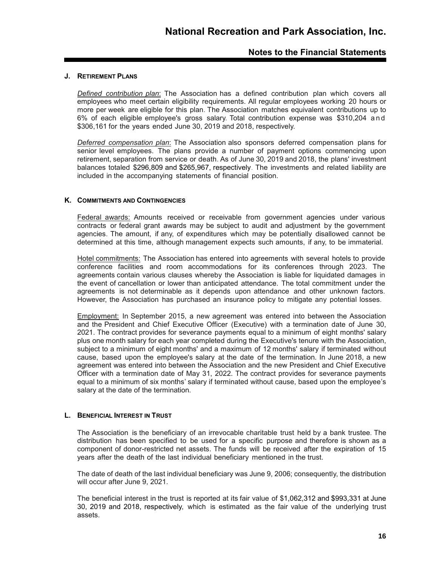#### **J. RETIREMENT PLANS**

*Defined contribution plan*: The Association has a defined contribution plan which covers all employees who meet certain eligibility requirements. All regular employees working 20 hours or more per week are eligible for this plan. The Association matches equivalent contributions up to 6% of each eligible employee's gross salary. Total contribution expense was \$310,204 a n d \$306,161 for the years ended June 30, 2019 and 2018, respectively.

*Deferred compensation plan*: The Association also sponsors deferred compensation plans for senior level employees. The plans provide a number of payment options commencing upon retirement, separation from service or death. As of June 30, 2019 and 2018, the plans' investment balances totaled \$296,809 and \$265,967, respectively. The investments and related liability are included in the accompanying statements of financial position.

#### **K. COMMITMENTS AND CONTINGENCIES**

Federal awards: Amounts received or receivable from government agencies under various contracts or federal grant awards may be subject to audit and adjustment by the government agencies. The amount, if any, of expenditures which may be potentially disallowed cannot be determined at this time, although management expects such amounts, if any, to be immaterial.

Hotel commitments: The Association has entered into agreements with several hotels to provide conference facilities and room accommodations for its conferences through 2023. The agreements contain various clauses whereby the Association is liable for liquidated damages in the event of cancellation or lower than anticipated attendance. The total commitment under the agreements is not determinable as it depends upon attendance and other unknown factors. However, the Association has purchased an insurance policy to mitigate any potential losses.

Employment: In September 2015, a new agreement was entered into between the Association and the President and Chief Executive Officer (Executive) with a termination date of June 30, 2021. The contract provides for severance payments equal to a minimum of eight months' salary plus one month salary for each year completed during the Executive's tenure with the Association, subject to a minimum of eight months' and a maximum of 12 months' salary if terminated without cause, based upon the employee's salary at the date of the termination. In June 2018, a new agreement was entered into between the Association and the new President and Chief Executive Officer with a termination date of May 31, 2022. The contract provides for severance payments equal to a minimum of six months' salary if terminated without cause, based upon the employee's salary at the date of the termination.

#### **L. BENEFICIAL INTEREST IN TRUST**

The Association is the beneficiary of an irrevocable charitable trust held by a bank trustee. The distribution has been specified to be used for a specific purpose and therefore is shown as a component of donor-restricted net assets. The funds will be received after the expiration of 15 years after the death of the last individual beneficiary mentioned in the trust.

The date of death of the last individual beneficiary was June 9, 2006; consequently, the distribution will occur after June 9, 2021.

The beneficial interest in the trust is reported at its fair value of \$1,062,312 and \$993,331 at June 30, 2019 and 2018, respectively, which is estimated as the fair value of the underlying trust assets.